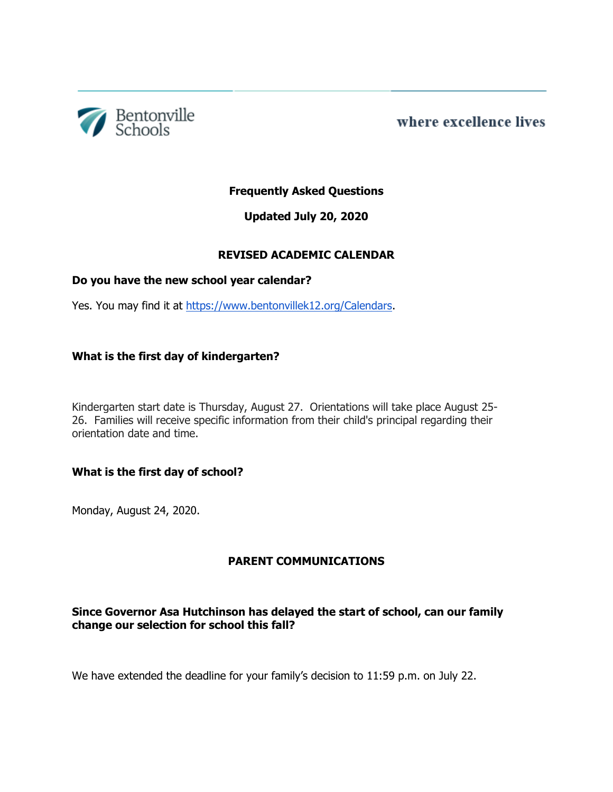

where excellence lives

# **Frequently Asked Questions**

# **Updated July 20, 2020**

# **REVISED ACADEMIC CALENDAR**

### **Do you have the new school year calendar?**

Yes. You may find it at [https://www.bentonvillek12.org/Calendars.](https://www.bentonvillek12.org/Calendars)

### **What is the first day of kindergarten?**

Kindergarten start date is Thursday, August 27. Orientations will take place August 25- 26. Families will receive specific information from their child's principal regarding their orientation date and time.

# **What is the first day of school?**

Monday, August 24, 2020.

# **PARENT COMMUNICATIONS**

# **Since Governor Asa Hutchinson has delayed the start of school, can our family change our selection for school this fall?**

We have extended the deadline for your family's decision to 11:59 p.m. on July 22.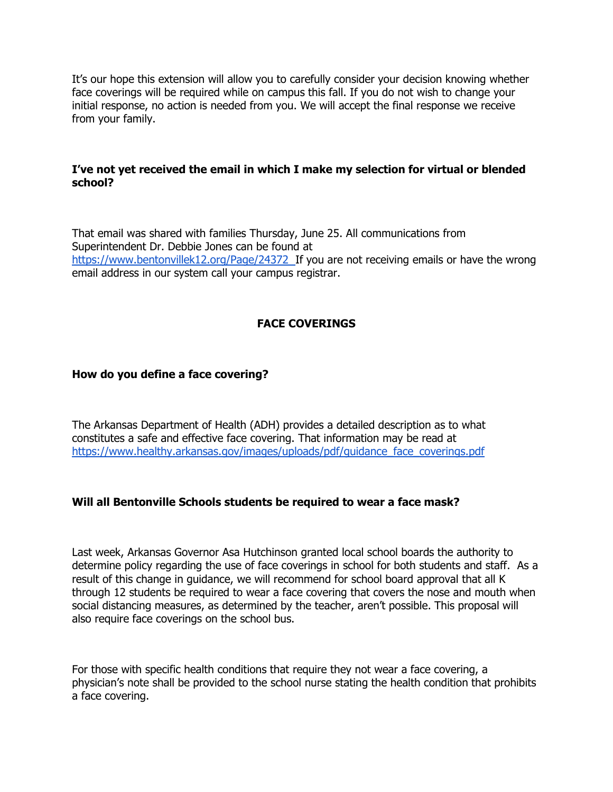It's our hope this extension will allow you to carefully consider your decision knowing whether face coverings will be required while on campus this fall. If you do not wish to change your initial response, no action is needed from you. We will accept the final response we receive from your family.

### **I've not yet received the email in which I make my selection for virtual or blended school?**

That email was shared with families Thursday, June 25. All communications from Superintendent Dr. Debbie Jones can be found a[t](https://www.bentonvillek12.org/Page/24372) <https://www.bentonvillek12.org/Page/24372> If you are not receiving emails or have the wrong email address in our system call your campus registrar.

### **FACE COVERINGS**

### **How do you define a face covering?**

The Arkansas Department of Health (ADH) provides a detailed description as to what constitutes a safe and effective face covering. That information may be read a[t](https://www.healthy.arkansas.gov/images/uploads/pdf/guidance_face_coverings.pdf) [https://www.healthy.arkansas.gov/images/uploads/pdf/guidance\\_face\\_coverings.pdf](https://www.healthy.arkansas.gov/images/uploads/pdf/guidance_face_coverings.pdf)

### **Will all Bentonville Schools students be required to wear a face mask?**

Last week, Arkansas Governor Asa Hutchinson granted local school boards the authority to determine policy regarding the use of face coverings in school for both students and staff. As a result of this change in guidance, we will recommend for school board approval that all K through 12 students be required to wear a face covering that covers the nose and mouth when social distancing measures, as determined by the teacher, aren't possible. This proposal will also require face coverings on the school bus.

For those with specific health conditions that require they not wear a face covering, a physician's note shall be provided to the school nurse stating the health condition that prohibits a face covering.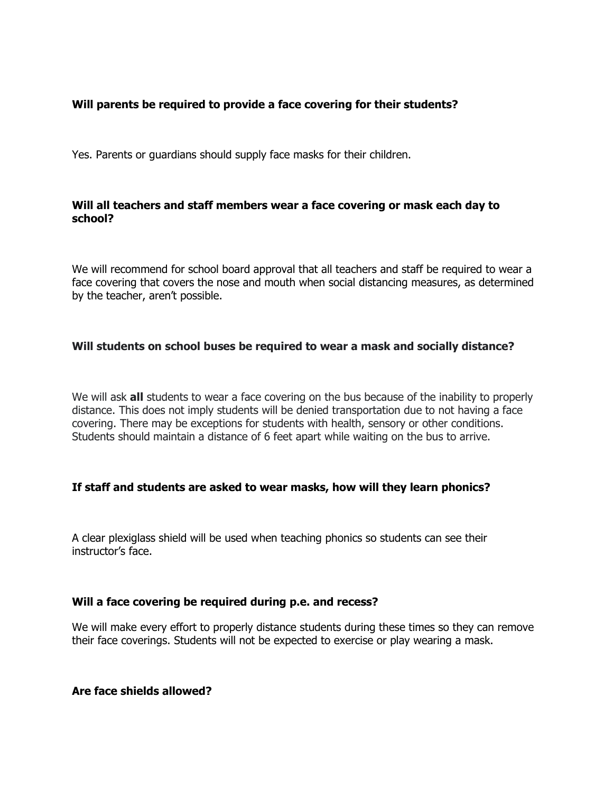## **Will parents be required to provide a face covering for their students?**

Yes. Parents or guardians should supply face masks for their children.

### **Will all teachers and staff members wear a face covering or mask each day to school?**

We will recommend for school board approval that all teachers and staff be required to wear a face covering that covers the nose and mouth when social distancing measures, as determined by the teacher, aren't possible.

### **Will students on school buses be required to wear a mask and socially distance?**

We will ask **all** students to wear a face covering on the bus because of the inability to properly distance. This does not imply students will be denied transportation due to not having a face covering. There may be exceptions for students with health, sensory or other conditions. Students should maintain a distance of 6 feet apart while waiting on the bus to arrive.

### **If staff and students are asked to wear masks, how will they learn phonics?**

A clear plexiglass shield will be used when teaching phonics so students can see their instructor's face.

### **Will a face covering be required during p.e. and recess?**

We will make every effort to properly distance students during these times so they can remove their face coverings. Students will not be expected to exercise or play wearing a mask.

**Are face shields allowed?**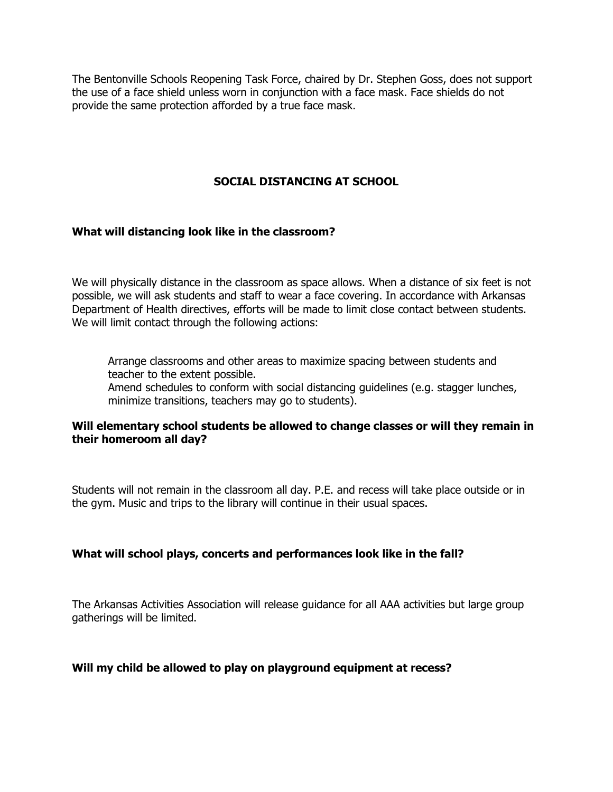The Bentonville Schools Reopening Task Force, chaired by Dr. Stephen Goss, does not support the use of a face shield unless worn in conjunction with a face mask. Face shields do not provide the same protection afforded by a true face mask.

## **SOCIAL DISTANCING AT SCHOOL**

#### **What will distancing look like in the classroom?**

We will physically distance in the classroom as space allows. When a distance of six feet is not possible, we will ask students and staff to wear a face covering. In accordance with Arkansas Department of Health directives, efforts will be made to limit close contact between students. We will limit contact through the following actions:

Arrange classrooms and other areas to maximize spacing between students and teacher to the extent possible. Amend schedules to conform with social distancing guidelines (e.g. stagger lunches, minimize transitions, teachers may go to students).

### **Will elementary school students be allowed to change classes or will they remain in their homeroom all day?**

Students will not remain in the classroom all day. P.E. and recess will take place outside or in the gym. Music and trips to the library will continue in their usual spaces.

#### **What will school plays, concerts and performances look like in the fall?**

The Arkansas Activities Association will release guidance for all AAA activities but large group gatherings will be limited.

#### **Will my child be allowed to play on playground equipment at recess?**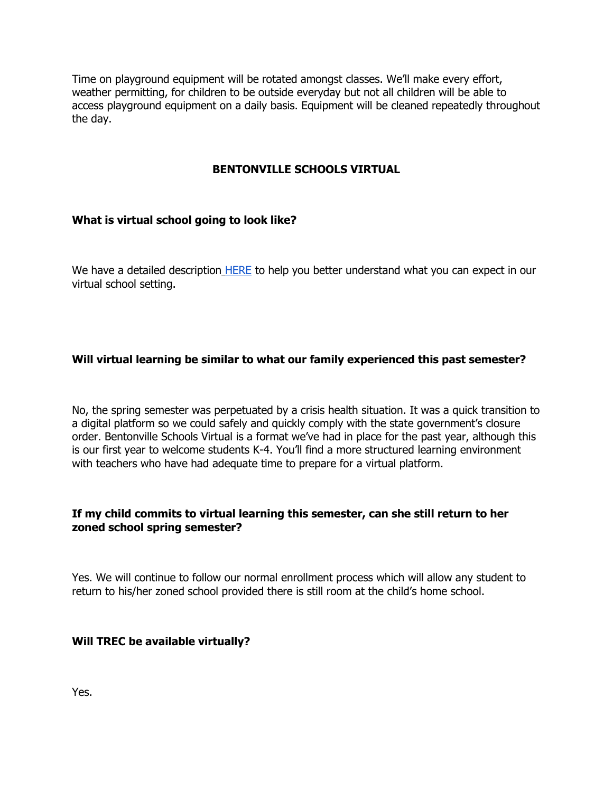Time on playground equipment will be rotated amongst classes. We'll make every effort, weather permitting, for children to be outside everyday but not all children will be able to access playground equipment on a daily basis. Equipment will be cleaned repeatedly throughout the day.

# **BENTONVILLE SCHOOLS VIRTUAL**

# **What is virtual school going to look like?**

We have a detailed description [HERE](https://www.bentonvillek12.org/domain/5312) to help you better understand what you can expect in our virtual school setting.

# **Will virtual learning be similar to what our family experienced this past semester?**

No, the spring semester was perpetuated by a crisis health situation. It was a quick transition to a digital platform so we could safely and quickly comply with the state government's closure order. Bentonville Schools Virtual is a format we've had in place for the past year, although this is our first year to welcome students K-4. You'll find a more structured learning environment with teachers who have had adequate time to prepare for a virtual platform.

### **If my child commits to virtual learning this semester, can she still return to her zoned school spring semester?**

Yes. We will continue to follow our normal enrollment process which will allow any student to return to his/her zoned school provided there is still room at the child's home school.

### **Will TREC be available virtually?**

Yes.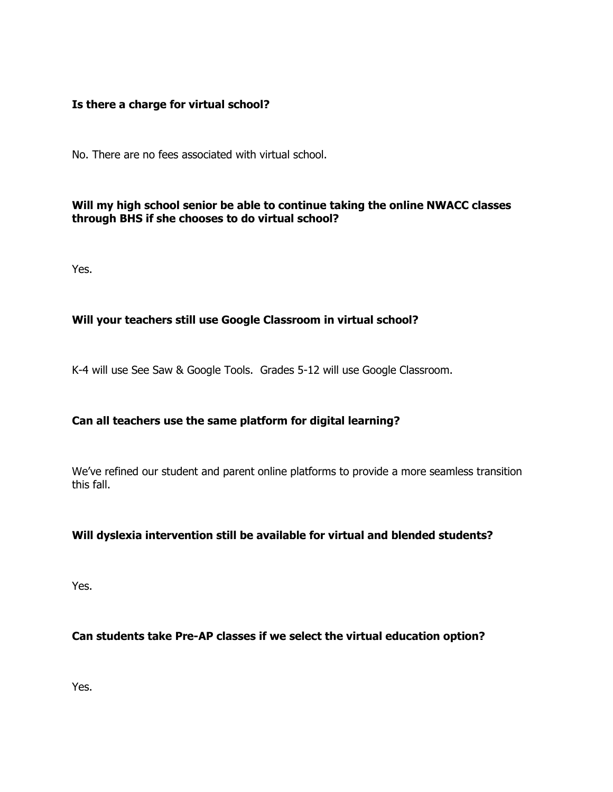### **Is there a charge for virtual school?**

No. There are no fees associated with virtual school.

# **Will my high school senior be able to continue taking the online NWACC classes through BHS if she chooses to do virtual school?**

Yes.

### **Will your teachers still use Google Classroom in virtual school?**

K-4 will use See Saw & Google Tools. Grades 5-12 will use Google Classroom.

# **Can all teachers use the same platform for digital learning?**

We've refined our student and parent online platforms to provide a more seamless transition this fall.

# **Will dyslexia intervention still be available for virtual and blended students?**

Yes.

### **Can students take Pre-AP classes if we select the virtual education option?**

Yes.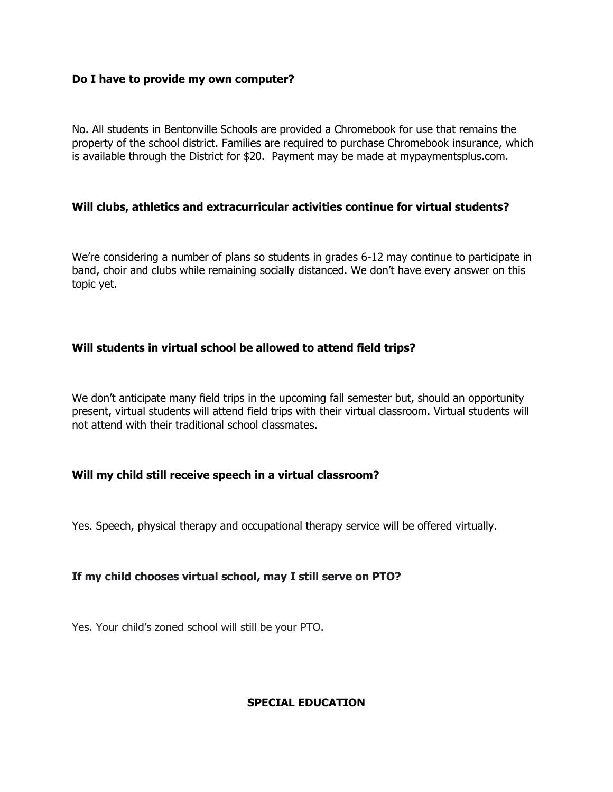#### **Do I have to provide my own computer?**

No. All students in Bentonville Schools are provided a Chromebook for use that remains the property of the school district. Families are required to purchase Chromebook insurance, which is available through the District for \$20. Payment may be made at mypaymentsplus.com.

### **Will clubs, athletics and extracurricular activities continue for virtual students?**

We're considering a number of plans so students in grades 6-12 may continue to participate in band, choir and clubs while remaining socially distanced. We don't have every answer on this topic yet.

### **Will students in virtual school be allowed to attend field trips?**

We don't anticipate many field trips in the upcoming fall semester but, should an opportunity present, virtual students will attend field trips with their virtual classroom. Virtual students will not attend with their traditional school classmates.

### **Will my child still receive speech in a virtual classroom?**

Yes. Speech, physical therapy and occupational therapy service will be offered virtually.

# **If my child chooses virtual school, may I still serve on PTO?**

Yes. Your child's zoned school will still be your PTO.

# **SPECIAL EDUCATION**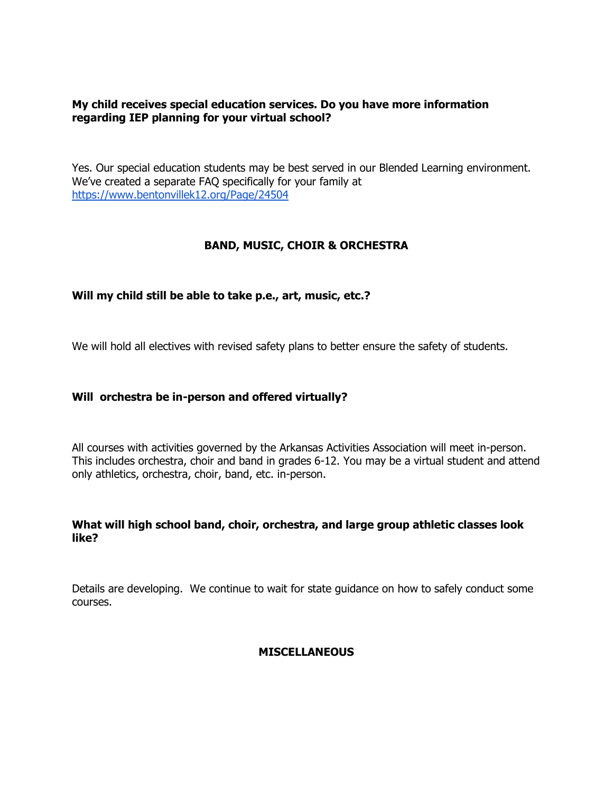## **My child receives special education services. Do you have more information regarding IEP planning for your virtual school?**

Yes. Our special education students may be best served in our Blended Learning environment. We've created a separate FAQ specifically for your family a[t](https://www.bentonvillek12.org/Page/24504) <https://www.bentonvillek12.org/Page/24504>

# **BAND, MUSIC, CHOIR & ORCHESTRA**

### **Will my child still be able to take p.e., art, music, etc.?**

We will hold all electives with revised safety plans to better ensure the safety of students.

### **Will orchestra be in-person and offered virtually?**

All courses with activities governed by the Arkansas Activities Association will meet in-person. This includes orchestra, choir and band in grades 6-12. You may be a virtual student and attend only athletics, orchestra, choir, band, etc. in-person.

### **What will high school band, choir, orchestra, and large group athletic classes look like?**

Details are developing. We continue to wait for state guidance on how to safely conduct some courses.

### **MISCELLANEOUS**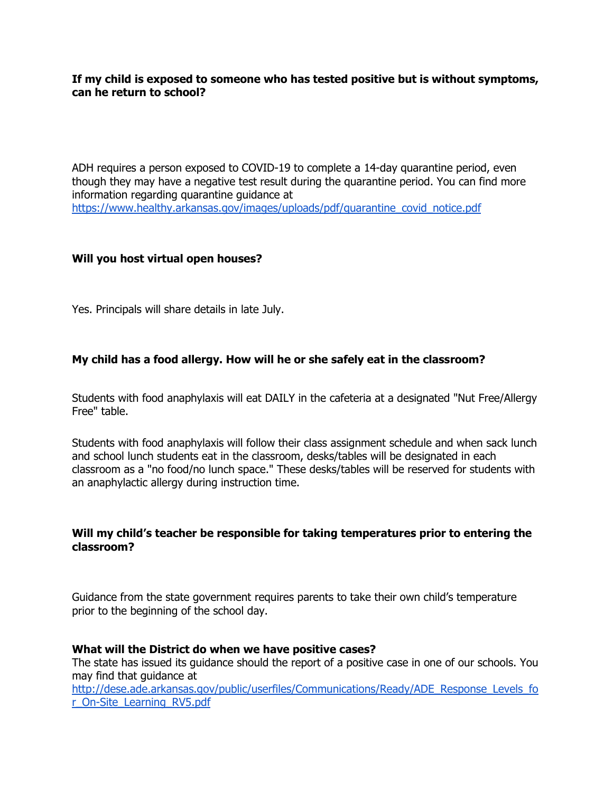**If my child is exposed to someone who has tested positive but is without symptoms, can he return to school?**

ADH requires a person exposed to COVID-19 to complete a 14-day quarantine period, even though they may have a negative test result during the quarantine period. You can find more information regarding quarantine guidance a[t](https://www.healthy.arkansas.gov/images/uploads/pdf/quarantine_covid_notice.pdf) [https://www.healthy.arkansas.gov/images/uploads/pdf/quarantine\\_covid\\_notice.pdf](https://www.healthy.arkansas.gov/images/uploads/pdf/quarantine_covid_notice.pdf)

### **Will you host virtual open houses?**

Yes. Principals will share details in late July.

### **My child has a food allergy. How will he or she safely eat in the classroom?**

Students with food anaphylaxis will eat DAILY in the cafeteria at a designated "Nut Free/Allergy Free" table.

Students with food anaphylaxis will follow their class assignment schedule and when sack lunch and school lunch students eat in the classroom, desks/tables will be designated in each classroom as a "no food/no lunch space." These desks/tables will be reserved for students with an anaphylactic allergy during instruction time.

### **Will my child's teacher be responsible for taking temperatures prior to entering the classroom?**

Guidance from the state government requires parents to take their own child's temperature prior to the beginning of the school day.

### **What will the District do when we have positive cases?**

The state has issued its guidance should the report of a positive case in one of our schools. You may find that guidance a[t](http://dese.ade.arkansas.gov/public/userfiles/Communications/Ready/ADE_Response_Levels_for_On-Site_Learning_RV5.pdf)

[http://dese.ade.arkansas.gov/public/userfiles/Communications/Ready/ADE\\_Response\\_Levels\\_fo](http://dese.ade.arkansas.gov/public/userfiles/Communications/Ready/ADE_Response_Levels_for_On-Site_Learning_RV5.pdf) [r\\_On-Site\\_Learning\\_RV5.pdf](http://dese.ade.arkansas.gov/public/userfiles/Communications/Ready/ADE_Response_Levels_for_On-Site_Learning_RV5.pdf)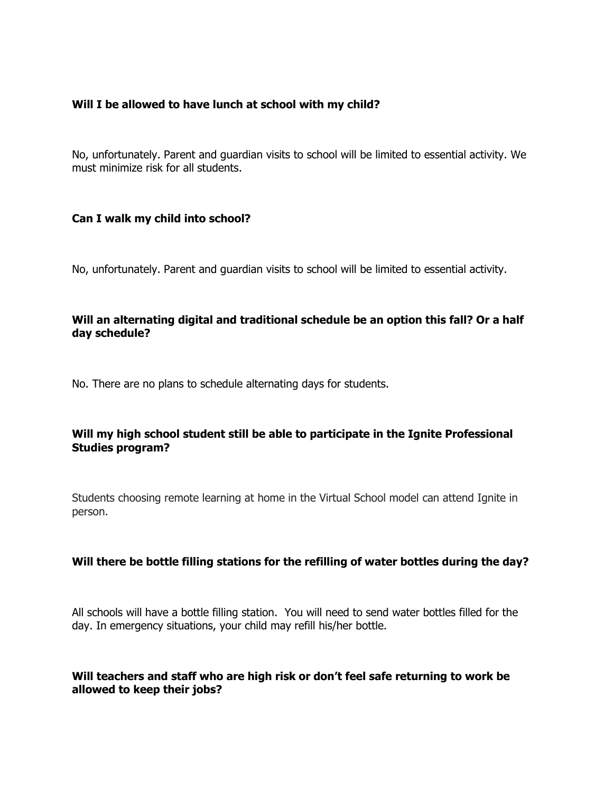### **Will I be allowed to have lunch at school with my child?**

No, unfortunately. Parent and guardian visits to school will be limited to essential activity. We must minimize risk for all students.

### **Can I walk my child into school?**

No, unfortunately. Parent and guardian visits to school will be limited to essential activity.

# **Will an alternating digital and traditional schedule be an option this fall? Or a half day schedule?**

No. There are no plans to schedule alternating days for students.

# **Will my high school student still be able to participate in the Ignite Professional Studies program?**

Students choosing remote learning at home in the Virtual School model can attend Ignite in person.

# **Will there be bottle filling stations for the refilling of water bottles during the day?**

All schools will have a bottle filling station. You will need to send water bottles filled for the day. In emergency situations, your child may refill his/her bottle.

### **Will teachers and staff who are high risk or don't feel safe returning to work be allowed to keep their jobs?**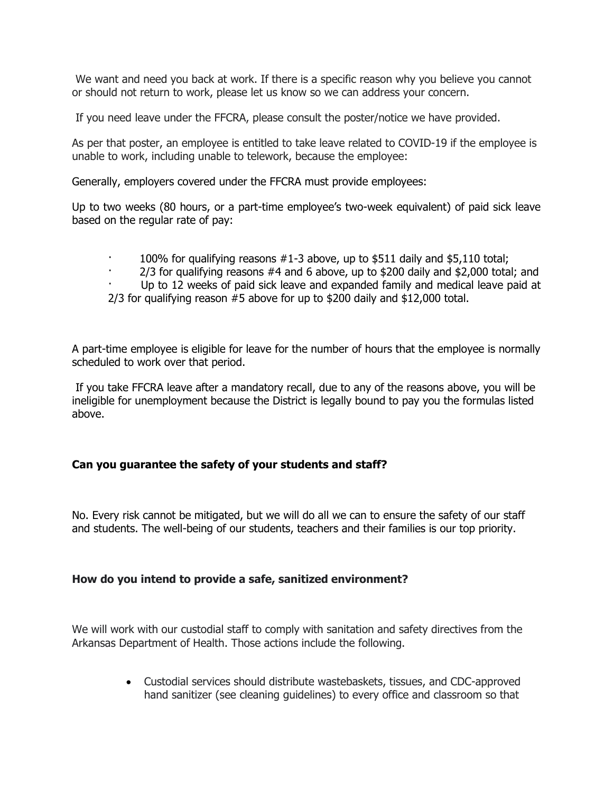We want and need you back at work. If there is a specific reason why you believe you cannot or should not return to work, please let us know so we can address your concern.

If you need leave under the FFCRA, please consult the poster/notice we have provided.

As per that poster, an employee is entitled to take leave related to COVID-19 if the employee is unable to work, including unable to telework, because the employee:

Generally, employers covered under the FFCRA must provide employees:

Up to two weeks (80 hours, or a part-time employee's two-week equivalent) of paid sick leave based on the regular rate of pay:

- 100% for qualifying reasons  $#1-3$  above, up to \$511 daily and \$5,110 total;
- $2/3$  for qualifying reasons  $#4$  and 6 above, up to \$200 daily and \$2,000 total; and
- Up to 12 weeks of paid sick leave and expanded family and medical leave paid at

2/3 for qualifying reason #5 above for up to \$200 daily and \$12,000 total.

A part-time employee is eligible for leave for the number of hours that the employee is normally scheduled to work over that period.

If you take FFCRA leave after a mandatory recall, due to any of the reasons above, you will be ineligible for unemployment because the District is legally bound to pay you the formulas listed above.

### **Can you guarantee the safety of your students and staff?**

No. Every risk cannot be mitigated, but we will do all we can to ensure the safety of our staff and students. The well-being of our students, teachers and their families is our top priority.

### **How do you intend to provide a safe, sanitized environment?**

We will work with our custodial staff to comply with sanitation and safety directives from the Arkansas Department of Health. Those actions include the following.

> Custodial services should distribute wastebaskets, tissues, and CDC-approved hand sanitizer (see cleaning guidelines) to every office and classroom so that